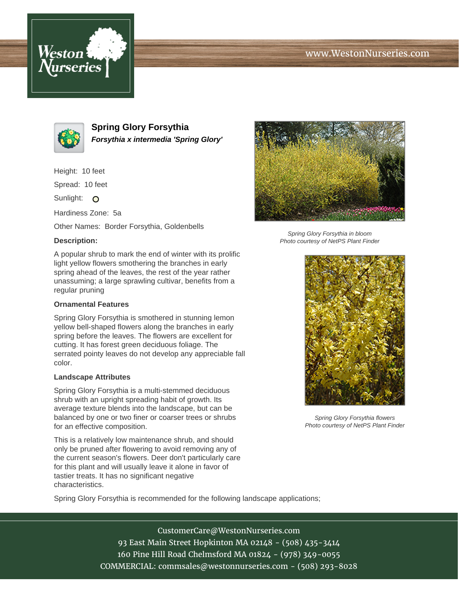# www.WestonNurseries.com





**Spring Glory Forsythia Forsythia x intermedia 'Spring Glory'**

Height: 10 feet

Spread: 10 feet

Sunlight: O

Hardiness Zone: 5a

Other Names: Border Forsythia, Goldenbells

## **Description:**

A popular shrub to mark the end of winter with its prolific light yellow flowers smothering the branches in early spring ahead of the leaves, the rest of the year rather unassuming; a large sprawling cultivar, benefits from a regular pruning

### **Ornamental Features**

Spring Glory Forsythia is smothered in stunning lemon yellow bell-shaped flowers along the branches in early spring before the leaves. The flowers are excellent for cutting. It has forest green deciduous foliage. The serrated pointy leaves do not develop any appreciable fall color.

#### **Landscape Attributes**

Spring Glory Forsythia is a multi-stemmed deciduous shrub with an upright spreading habit of growth. Its average texture blends into the landscape, but can be balanced by one or two finer or coarser trees or shrubs for an effective composition.

This is a relatively low maintenance shrub, and should only be pruned after flowering to avoid removing any of the current season's flowers. Deer don't particularly care for this plant and will usually leave it alone in favor of tastier treats. It has no significant negative characteristics.

Spring Glory Forsythia is recommended for the following landscape applications;



Spring Glory Forsythia in bloom Photo courtesy of NetPS Plant Finder



Spring Glory Forsythia flowers Photo courtesy of NetPS Plant Finder

CustomerCare@WestonNurseries.com 93 East Main Street Hopkinton MA 02148 - (508) 435-3414 160 Pine Hill Road Chelmsford MA 01824 - (978) 349-0055 COMMERCIAL: commsales@westonnurseries.com - (508) 293-8028